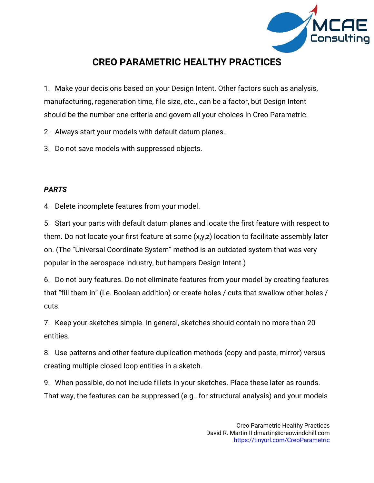

# **CREO PARAMETRIC HEALTHY PRACTICES**

1. Make your decisions based on your Design Intent. Other factors such as analysis, manufacturing, regeneration time, file size, etc., can be a factor, but Design Intent should be the number one criteria and govern all your choices in Creo Parametric.

2. Always start your models with default datum planes.

3. Do not save models with suppressed objects.

# *PARTS*

4. Delete incomplete features from your model.

5. Start your parts with default datum planes and locate the first feature with respect to them. Do not locate your first feature at some (x,y,z) location to facilitate assembly later on. (The "Universal Coordinate System" method is an outdated system that was very popular in the aerospace industry, but hampers Design Intent.)

6. Do not bury features. Do not eliminate features from your model by creating features that "fill them in" (i.e. Boolean addition) or create holes / cuts that swallow other holes / cuts.

7. Keep your sketches simple. In general, sketches should contain no more than 20 entities.

8. Use patterns and other feature duplication methods (copy and paste, mirror) versus creating multiple closed loop entities in a sketch.

9. When possible, do not include fillets in your sketches. Place these later as rounds. That way, the features can be suppressed (e.g., for structural analysis) and your models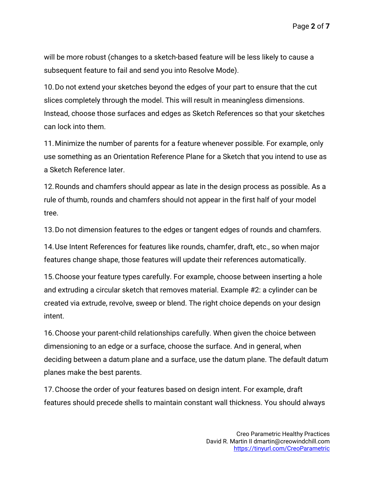Page **2** of **7**

will be more robust (changes to a sketch-based feature will be less likely to cause a subsequent feature to fail and send you into Resolve Mode).

10.Do not extend your sketches beyond the edges of your part to ensure that the cut slices completely through the model. This will result in meaningless dimensions. Instead, choose those surfaces and edges as Sketch References so that your sketches can lock into them.

11.Minimize the number of parents for a feature whenever possible. For example, only use something as an Orientation Reference Plane for a Sketch that you intend to use as a Sketch Reference later.

12.Rounds and chamfers should appear as late in the design process as possible. As a rule of thumb, rounds and chamfers should not appear in the first half of your model tree.

13.Do not dimension features to the edges or tangent edges of rounds and chamfers.

14.Use Intent References for features like rounds, chamfer, draft, etc., so when major features change shape, those features will update their references automatically.

15.Choose your feature types carefully. For example, choose between inserting a hole and extruding a circular sketch that removes material. Example #2: a cylinder can be created via extrude, revolve, sweep or blend. The right choice depends on your design intent.

16.Choose your parent-child relationships carefully. When given the choice between dimensioning to an edge or a surface, choose the surface. And in general, when deciding between a datum plane and a surface, use the datum plane. The default datum planes make the best parents.

17.Choose the order of your features based on design intent. For example, draft features should precede shells to maintain constant wall thickness. You should always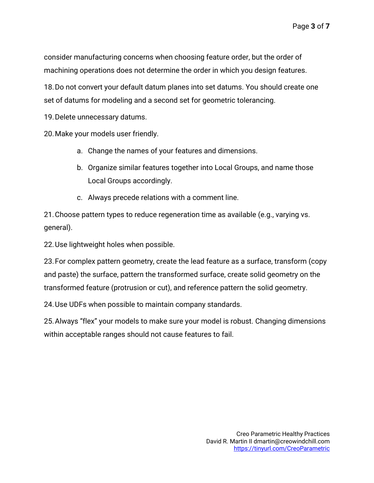consider manufacturing concerns when choosing feature order, but the order of machining operations does not determine the order in which you design features.

18.Do not convert your default datum planes into set datums. You should create one set of datums for modeling and a second set for geometric tolerancing.

19.Delete unnecessary datums.

20.Make your models user friendly.

- a. Change the names of your features and dimensions.
- b. Organize similar features together into Local Groups, and name those Local Groups accordingly.
- c. Always precede relations with a comment line.

21.Choose pattern types to reduce regeneration time as available (e.g., varying vs. general).

22.Use lightweight holes when possible.

23.For complex pattern geometry, create the lead feature as a surface, transform (copy and paste) the surface, pattern the transformed surface, create solid geometry on the transformed feature (protrusion or cut), and reference pattern the solid geometry.

24.Use UDFs when possible to maintain company standards.

25.Always "flex" your models to make sure your model is robust. Changing dimensions within acceptable ranges should not cause features to fail.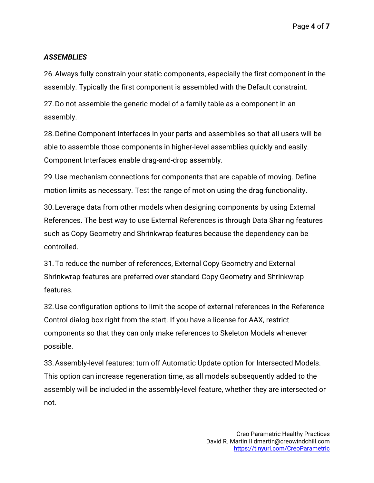Page **4** of **7**

# *ASSEMBLIES*

26.Always fully constrain your static components, especially the first component in the assembly. Typically the first component is assembled with the Default constraint.

27.Do not assemble the generic model of a family table as a component in an assembly.

28.Define Component Interfaces in your parts and assemblies so that all users will be able to assemble those components in higher-level assemblies quickly and easily. Component Interfaces enable drag-and-drop assembly.

29.Use mechanism connections for components that are capable of moving. Define motion limits as necessary. Test the range of motion using the drag functionality.

30.Leverage data from other models when designing components by using External References. The best way to use External References is through Data Sharing features such as Copy Geometry and Shrinkwrap features because the dependency can be controlled.

31.To reduce the number of references, External Copy Geometry and External Shrinkwrap features are preferred over standard Copy Geometry and Shrinkwrap features.

32.Use configuration options to limit the scope of external references in the Reference Control dialog box right from the start. If you have a license for AAX, restrict components so that they can only make references to Skeleton Models whenever possible.

33.Assembly-level features: turn off Automatic Update option for Intersected Models. This option can increase regeneration time, as all models subsequently added to the assembly will be included in the assembly-level feature, whether they are intersected or not.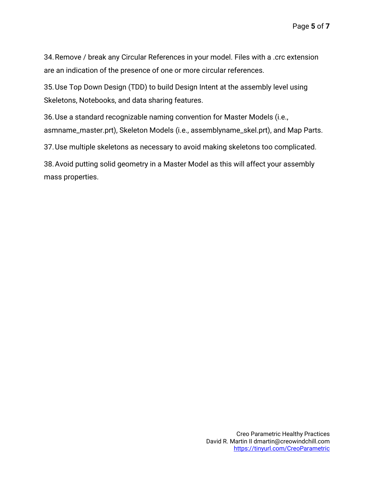34.Remove / break any Circular References in your model. Files with a .crc extension are an indication of the presence of one or more circular references.

35.Use Top Down Design (TDD) to build Design Intent at the assembly level using Skeletons, Notebooks, and data sharing features.

36.Use a standard recognizable naming convention for Master Models (i.e., asmname\_master.prt), Skeleton Models (i.e., assemblyname\_skel.prt), and Map Parts.

37.Use multiple skeletons as necessary to avoid making skeletons too complicated.

38.Avoid putting solid geometry in a Master Model as this will affect your assembly mass properties.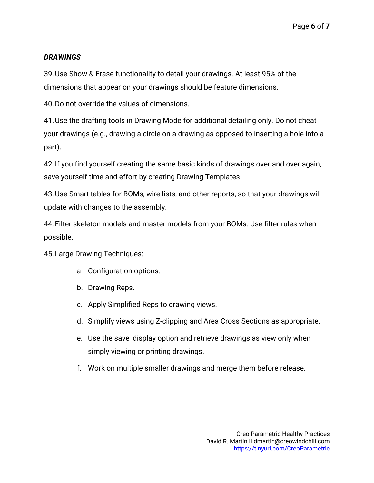# *DRAWINGS*

39.Use Show & Erase functionality to detail your drawings. At least 95% of the dimensions that appear on your drawings should be feature dimensions.

40.Do not override the values of dimensions.

41.Use the drafting tools in Drawing Mode for additional detailing only. Do not cheat your drawings (e.g., drawing a circle on a drawing as opposed to inserting a hole into a part).

42.If you find yourself creating the same basic kinds of drawings over and over again, save yourself time and effort by creating Drawing Templates.

43.Use Smart tables for BOMs, wire lists, and other reports, so that your drawings will update with changes to the assembly.

44.Filter skeleton models and master models from your BOMs. Use filter rules when possible.

45.Large Drawing Techniques:

- a. Configuration options.
- b. Drawing Reps.
- c. Apply Simplified Reps to drawing views.
- d. Simplify views using Z-clipping and Area Cross Sections as appropriate.
- e. Use the save\_display option and retrieve drawings as view only when simply viewing or printing drawings.
- f. Work on multiple smaller drawings and merge them before release.